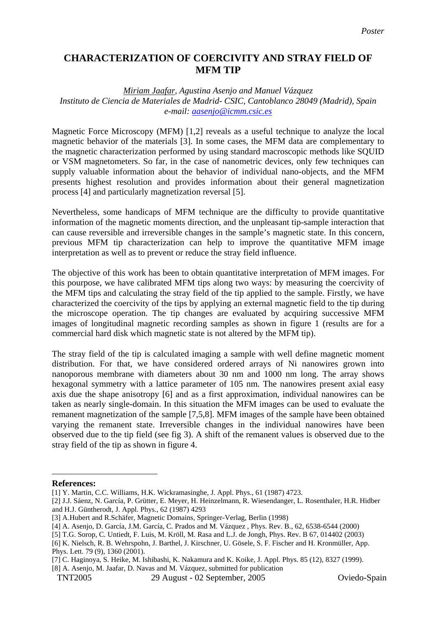## **CHARACTERIZATION OF COERCIVITY AND STRAY FIELD OF MFM TIP**

## *Miriam Jaafar, Agustina Asenjo and Manuel Vázquez Instituto de Ciencia de Materiales de Madrid- CSIC, Cantoblanco 28049 (Madrid), Spain e-mail: [aasenjo@icmm.csic.es](mailto:aasenjo@icmm.csic.es)*

Magnetic Force Microscopy (MFM) [[1,](#page-0-0)[2\]](#page-0-1) reveals as a useful technique to analyze the local magnetic behavior of the materials [[3\]](#page-0-2). In some cases, the MFM data are complementary to the magnetic characterization performed by using standard macroscopic methods like SQUID or VSM magnetometers. So far, in the case of nanometric devices, only few techniques can supply valuable information about the behavior of individual nano-objects, and the MFM presents highest resolution and provides information about their general magnetization process [[4\]](#page-0-3) and particularly magnetization reversal [[5\]](#page-0-4).

Nevertheless, some handicaps of MFM technique are the difficulty to provide quantitative information of the magnetic moments direction, and the unpleasant tip-sample interaction that can cause reversible and irreversible changes in the sample's magnetic state. In this concern, previous MFM tip characterization can help to improve the quantitative MFM image interpretation as well as to prevent or reduce the stray field influence.

The objective of this work has been to obtain quantitative interpretation of MFM images. For this pourpose, we have calibrated MFM tips along two ways: by measuring the coercivity of the MFM tips and calculating the stray field of the tip applied to the sample. Firstly, we have characterized the coercivity of the tips by applying an external magnetic field to the tip during the microscope operation. The tip changes are evaluated by acquiring successive MFM images of longitudinal magnetic recording samples as shown in figure 1 (results are for a commercial hard disk which magnetic state is not altered by the MFM tip).

The stray field of the tip is calculated imaging a sample with well define magnetic moment distribution. For that, we have considered ordered arrays of Ni nanowires grown into nanoporous membrane with diameters about 30 nm and 1000 nm long. The array shows hexagonal symmetry with a lattice parameter of 105 nm. The nanowires present axial easy axis due the shape anisotropy [[6\]](#page-0-5) and as a first approximation, individual nanowires can be taken as nearly single-domain. In this situation the MFM images can be used to evaluate the remanent magnetization of the sample [[7,](#page-0-6)5,[8\]](#page-0-7). MFM images of the sample have been obtained varying the remanent state. Irreversible changes in the individual nanowires have been observed due to the tip field (see fig 3). A shift of the remanent values is observed due to the stray field of the tip as shown in figure 4.

 $\overline{a}$ 

<span id="page-0-0"></span>**References:** 

<sup>[1]</sup> Y. Martin, C.C. Williams, H.K. Wickramasinghe, J. Appl. Phys., 61 (1987) 4723.

<span id="page-0-1"></span><sup>[2]</sup> J.J. Sáenz, N. García, P. Grütter, E. Meyer, H. Heinzelmann, R. Wiesendanger, L. Rosenthaler, H.R. Hidber and H.J. Güntherodt, J. Appl. Phys., 62 (1987) 4293

<span id="page-0-2"></span><sup>[3]</sup> A.Hubert and R.Schäfer, Magnetic Domains, Springer-Verlag, Berlin (1998)

<span id="page-0-3"></span><sup>[4]</sup> A. Asenjo, D. García, J.M. García, C. Prados and M. Vázquez , Phys. Rev. B., 62, 6538-6544 (2000)

<span id="page-0-4"></span><sup>[5]</sup> T.G. Sorop, C. Untiedt, F. Luis, M. Kröll, M. Rasa and L.J. de Jongh, Phys. Rev. B 67, 014402 (2003)

<span id="page-0-5"></span><sup>[6]</sup> K. Nielsch, R. B. Wehrspohn, J. Barthel, J. Kirschner, U. Gösele, S. F. Fischer and H. Kronmüller, App. Phys. Lett. 79 (9), 1360 (2001).

<span id="page-0-6"></span><sup>[7]</sup> C. Haginoya, S. Heike, M. Ishibashi, K. Nakamura and K. Koike, J. Appl. Phys. 85 (12), 8327 (1999).

<span id="page-0-7"></span><sup>[8]</sup> A. Asenjo, M. Jaafar, D. Navas and M. Vázquez, submitted for publication